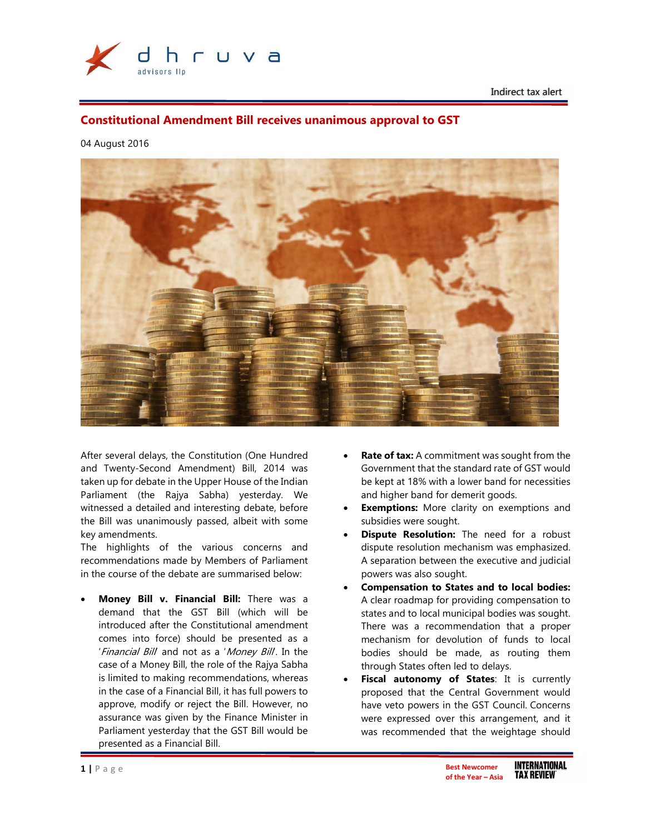

Indirect tax alert

# Constitutional Amendment Bill receives unanimous approval to GST

04 August 2016



After several delays, the Constitution (One Hundred and Twenty-Second Amendment) Bill, 2014 was taken up for debate in the Upper House of the Indian Parliament (the Rajya Sabha) yesterday. We witnessed a detailed and interesting debate, before the Bill was unanimously passed, albeit with some key amendments.

The highlights of the various concerns and recommendations made by Members of Parliament in the course of the debate are summarised below:

Money Bill v. Financial Bill: There was a demand that the GST Bill (which will be introduced after the Constitutional amendment comes into force) should be presented as a 'Financial Bill and not as a 'Money Bill. In the case of a Money Bill, the role of the Rajya Sabha is limited to making recommendations, whereas in the case of a Financial Bill, it has full powers to approve, modify or reject the Bill. However, no assurance was given by the Finance Minister in Parliament yesterday that the GST Bill would be presented as a Financial Bill.

- Rate of tax: A commitment was sought from the Government that the standard rate of GST would be kept at 18% with a lower band for necessities and higher band for demerit goods.
- **Exemptions:** More clarity on exemptions and subsidies were sought.
- **Dispute Resolution:** The need for a robust dispute resolution mechanism was emphasized. A separation between the executive and judicial powers was also sought.
- Compensation to States and to local bodies: A clear roadmap for providing compensation to states and to local municipal bodies was sought. There was a recommendation that a proper mechanism for devolution of funds to local bodies should be made, as routing them through States often led to delays.
- Fiscal autonomy of States: It is currently proposed that the Central Government would have veto powers in the GST Council. Concerns were expressed over this arrangement, and it was recommended that the weightage should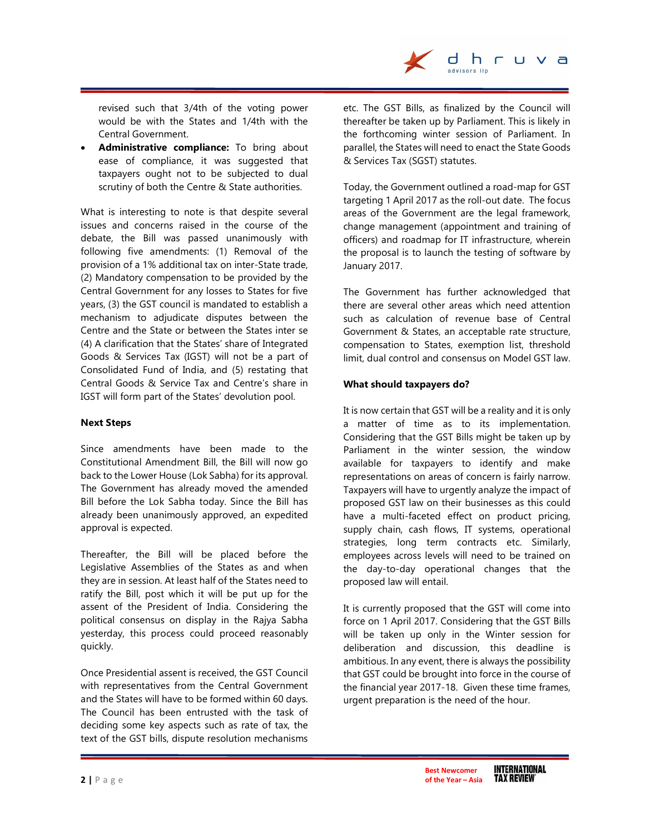

revised such that 3/4th of the voting power would be with the States and 1/4th with the Central Government.

• Administrative compliance: To bring about ease of compliance, it was suggested that taxpayers ought not to be subjected to dual scrutiny of both the Centre & State authorities.

What is interesting to note is that despite several issues and concerns raised in the course of the debate, the Bill was passed unanimously with following five amendments: (1) Removal of the provision of a 1% additional tax on inter-State trade, (2) Mandatory compensation to be provided by the Central Government for any losses to States for five years, (3) the GST council is mandated to establish a mechanism to adjudicate disputes between the Centre and the State or between the States inter se (4) A clarification that the States' share of Integrated Goods & Services Tax (IGST) will not be a part of Consolidated Fund of India, and (5) restating that Central Goods & Service Tax and Centre's share in IGST will form part of the States' devolution pool.

# Next Steps

Since amendments have been made to the Constitutional Amendment Bill, the Bill will now go back to the Lower House (Lok Sabha) for its approval. The Government has already moved the amended Bill before the Lok Sabha today. Since the Bill has already been unanimously approved, an expedited approval is expected.

Thereafter, the Bill will be placed before the Legislative Assemblies of the States as and when they are in session. At least half of the States need to ratify the Bill, post which it will be put up for the assent of the President of India. Considering the political consensus on display in the Rajya Sabha yesterday, this process could proceed reasonably quickly.

Once Presidential assent is received, the GST Council with representatives from the Central Government and the States will have to be formed within 60 days. The Council has been entrusted with the task of deciding some key aspects such as rate of tax, the text of the GST bills, dispute resolution mechanisms

etc. The GST Bills, as finalized by the Council will thereafter be taken up by Parliament. This is likely in the forthcoming winter session of Parliament. In parallel, the States will need to enact the State Goods & Services Tax (SGST) statutes.

Today, the Government outlined a road-map for GST targeting 1 April 2017 as the roll-out date. The focus areas of the Government are the legal framework, change management (appointment and training of officers) and roadmap for IT infrastructure, wherein the proposal is to launch the testing of software by January 2017.

The Government has further acknowledged that there are several other areas which need attention such as calculation of revenue base of Central Government & States, an acceptable rate structure, compensation to States, exemption list, threshold limit, dual control and consensus on Model GST law.

# What should taxpayers do?

It is now certain that GST will be a reality and it is only a matter of time as to its implementation. Considering that the GST Bills might be taken up by Parliament in the winter session, the window available for taxpayers to identify and make representations on areas of concern is fairly narrow. Taxpayers will have to urgently analyze the impact of proposed GST law on their businesses as this could have a multi-faceted effect on product pricing, supply chain, cash flows, IT systems, operational strategies, long term contracts etc. Similarly, employees across levels will need to be trained on the day-to-day operational changes that the proposed law will entail.

It is currently proposed that the GST will come into force on 1 April 2017. Considering that the GST Bills will be taken up only in the Winter session for deliberation and discussion, this deadline is ambitious. In any event, there is always the possibility that GST could be brought into force in the course of the financial year 2017-18. Given these time frames, urgent preparation is the need of the hour.